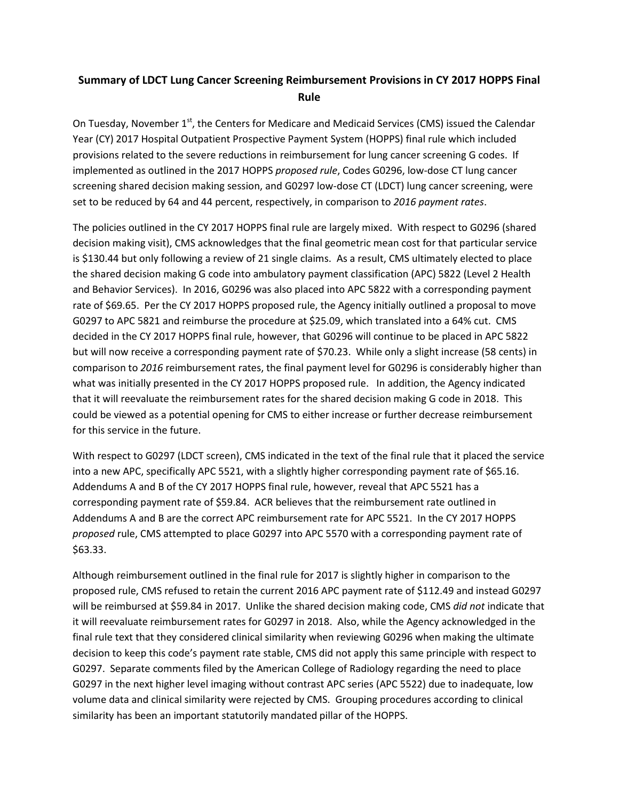## **Summary of LDCT Lung Cancer Screening Reimbursement Provisions in CY 2017 HOPPS Final Rule**

On Tuesday, November 1<sup>st</sup>, the Centers for Medicare and Medicaid Services (CMS) issued the Calendar Year (CY) 2017 Hospital Outpatient Prospective Payment System (HOPPS) final rule which included provisions related to the severe reductions in reimbursement for lung cancer screening G codes. If implemented as outlined in the 2017 HOPPS *proposed rule*, Codes G0296, low-dose CT lung cancer screening shared decision making session, and G0297 low-dose CT (LDCT) lung cancer screening, were set to be reduced by 64 and 44 percent, respectively, in comparison to *2016 payment rates*.

The policies outlined in the CY 2017 HOPPS final rule are largely mixed. With respect to G0296 (shared decision making visit), CMS acknowledges that the final geometric mean cost for that particular service is \$130.44 but only following a review of 21 single claims. As a result, CMS ultimately elected to place the shared decision making G code into ambulatory payment classification (APC) 5822 (Level 2 Health and Behavior Services). In 2016, G0296 was also placed into APC 5822 with a corresponding payment rate of \$69.65. Per the CY 2017 HOPPS proposed rule, the Agency initially outlined a proposal to move G0297 to APC 5821 and reimburse the procedure at \$25.09, which translated into a 64% cut. CMS decided in the CY 2017 HOPPS final rule, however, that G0296 will continue to be placed in APC 5822 but will now receive a corresponding payment rate of \$70.23. While only a slight increase (58 cents) in comparison to *2016* reimbursement rates, the final payment level for G0296 is considerably higher than what was initially presented in the CY 2017 HOPPS proposed rule. In addition, the Agency indicated that it will reevaluate the reimbursement rates for the shared decision making G code in 2018. This could be viewed as a potential opening for CMS to either increase or further decrease reimbursement for this service in the future.

With respect to G0297 (LDCT screen), CMS indicated in the text of the final rule that it placed the service into a new APC, specifically APC 5521, with a slightly higher corresponding payment rate of \$65.16. Addendums A and B of the CY 2017 HOPPS final rule, however, reveal that APC 5521 has a corresponding payment rate of \$59.84. ACR believes that the reimbursement rate outlined in Addendums A and B are the correct APC reimbursement rate for APC 5521. In the CY 2017 HOPPS *proposed* rule, CMS attempted to place G0297 into APC 5570 with a corresponding payment rate of \$63.33.

Although reimbursement outlined in the final rule for 2017 is slightly higher in comparison to the proposed rule, CMS refused to retain the current 2016 APC payment rate of \$112.49 and instead G0297 will be reimbursed at \$59.84 in 2017. Unlike the shared decision making code, CMS *did not* indicate that it will reevaluate reimbursement rates for G0297 in 2018. Also, while the Agency acknowledged in the final rule text that they considered clinical similarity when reviewing G0296 when making the ultimate decision to keep this code's payment rate stable, CMS did not apply this same principle with respect to G0297. Separate comments filed by the American College of Radiology regarding the need to place G0297 in the next higher level imaging without contrast APC series (APC 5522) due to inadequate, low volume data and clinical similarity were rejected by CMS. Grouping procedures according to clinical similarity has been an important statutorily mandated pillar of the HOPPS.